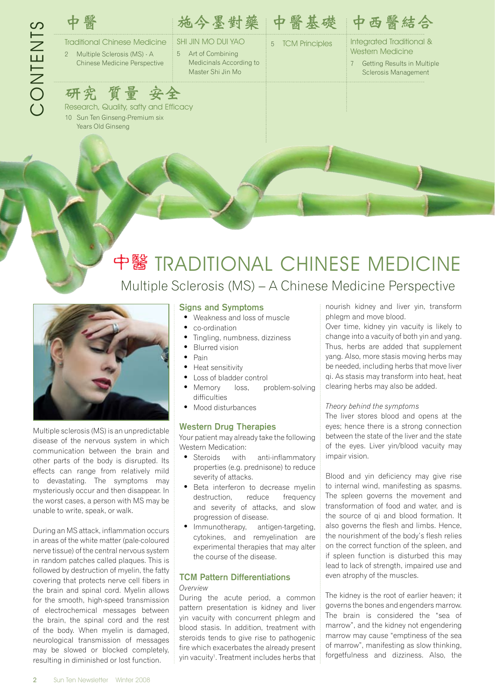# **中醫 TRADITIONAL CHINESE MEDICIN**

Multiple Sclerosis (MS) – A Chinese Medicine Perspective



Multiple sclerosis (MS) is an unpredictable disease of the nervous system in which communication between the brain and other parts of the body is disrupted. Its effects can range from relatively mild to devastating. The symptoms may mysteriously occur and then disappear. In the worst cases, a person with MS may be unable to write, speak, or walk.

During an MS attack, inflammation occurs in areas of the white matter (pale-coloured nerve tissue) of the central nervous system in random patches called plaques. This is followed by destruction of myelin, the fatty covering that protects nerve cell fibers in the brain and spinal cord. Myelin allows for the smooth, high-speed transmission of electrochemical messages between the brain, the spinal cord and the rest of the body. When myelin is damaged, neurological transmission of messages may be slowed or blocked completely, resulting in diminished or lost function.

### **Signs and Symptoms**

- Weakness and loss of muscle
- co-ordination
- Tingling, numbness, dizziness
- **Blurred** vision
- **Pain**
- Heat sensitivity
- Loss of bladder control
- Memory loss, problem-solving difficulties
- • Mood disturbances

#### **Western Drug Therapies**

Your patient may already take the following Western Medication:

- Steroids with anti-inflammatory properties (e.g. prednisone) to reduce severity of attacks.
- Beta interferon to decrease myelin destruction, reduce frequency and severity of attacks, and slow progression of disease.
- Immunotherapy, antigen-targeting, cytokines, and remyelination are experimental therapies that may alter the course of the disease.

# **TCM Pattern Differentiations**

#### *Overview*

During the acute period, a common pattern presentation is kidney and liver yin vacuity with concurrent phlegm and blood stasis. In addition, treatment with steroids tends to give rise to pathogenic fire which exacerbates the already present yin vacuity1 . Treatment includes herbs that nourish kidney and liver yin, transform phlegm and move blood.

Over time, kidney yin vacuity is likely to change into a vacuity of both yin and yang. Thus, herbs are added that supplement yang. Also, more stasis moving herbs may be needed, including herbs that move liver qi. As stasis may transform into heat, heat clearing herbs may also be added.

#### *Theory behind the symptoms*

The liver stores blood and opens at the eyes; hence there is a strong connection between the state of the liver and the state of the eyes. Liver yin/blood vacuity may impair vision.

Blood and yin deficiency may give rise to internal wind, manifesting as spasms. The spleen governs the movement and transformation of food and water, and is the source of qi and blood formation. It also governs the flesh and limbs. Hence, the nourishment of the body's flesh relies on the correct function of the spleen, and if spleen function is disturbed this may lead to lack of strength, impaired use and even atrophy of the muscles.

The kidney is the root of earlier heaven; it governs the bones and engenders marrow. The brain is considered the "sea of marrow", and the kidney not engendering marrow may cause "emptiness of the sea of marrow", manifesting as slow thinking, forgetfulness and dizziness. Also, the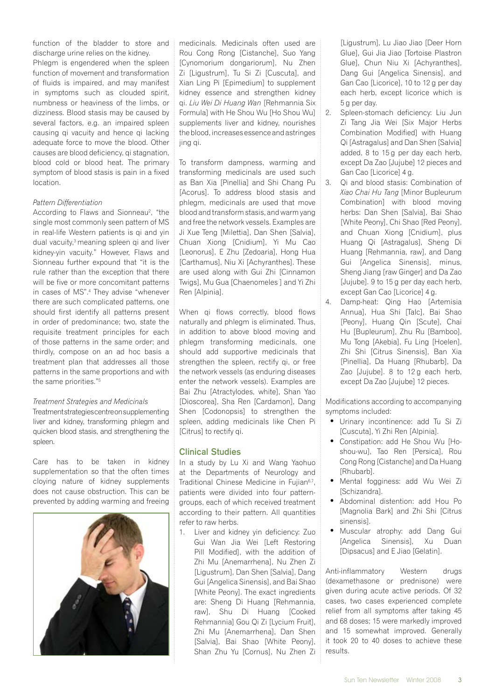function of the bladder to store and discharge urine relies on the kidney. Phlegm is engendered when the spleen function of movement and transformation of fluids is impaired, and may manifest in symptoms such as clouded spirit, numbness or heaviness of the limbs, or dizziness. Blood stasis may be caused by several factors, e.g. an impaired spleen causing qi vacuity and hence qi lacking adequate force to move the blood. Other causes are blood deficiency, qi stagnation, blood cold or blood heat. The primary symptom of blood stasis is pain in a fixed location.

#### *Pattern Differentiation*

According to Flaws and Sionneau<sup>2</sup>, "the single most commonly seen pattern of MS in real-life Western patients is qi and yin dual vacuity,<sup>3</sup> meaning spleen qi and liver kidney-yin vacuity." However, Flaws and Sionneau further expound that "it is the rule rather than the exception that there will be five or more concomitant patterns in cases of MS".4 They advise "whenever there are such complicated patterns, one should first identify all patterns present in order of predominance; two, state the requisite treatment principles for each of those patterns in the same order; and thirdly, compose on an ad hoc basis a treatment plan that addresses all those patterns in the same proportions and with the same priorities."5

#### *Treatment Strategies and Medicinals*

Treatment strategies centre on supplementing liver and kidney, transforming phlegm and quicken blood stasis, and strengthening the spleen.

Care has to be taken in kidney supplementation so that the often times cloying nature of kidney supplements does not cause obstruction. This can be prevented by adding warming and freeing



medicinals. Medicinals often used are Rou Cong Rong [Cistanche], Suo Yang [Cynomorium dongariorum], Nu Zhen Zi [Ligustrum], Tu Si Zi [Cuscuta], and Xian Ling Pi [Epimedium] to supplement kidney essence and strengthen kidney qi. *Liu Wei Di Huang Wan* [Rehmannia Six Formula] with He Shou Wu [Ho Shou Wu] supplements liver and kidney, nourishes the blood, increases essence and astringes jing qi.

To transform dampness, warming and transforming medicinals are used such as Ban Xia [Pinellia] and Shi Chang Pu [Acorus]. To address blood stasis and phlegm, medicinals are used that move blood and transform stasis, and warm yang and free the network vessels. Examples are Ji Xue Teng [Milettia], Dan Shen [Salvia], Chuan Xiong [Cnidium], Yi Mu Cao [Leonorus], E Zhu [Zedoaria], Hong Hua [Carthamus], Niu Xi [Achyranthes]. These are used along with Gui Zhi [Cinnamon Twigs], Mu Gua [Chaenomeles ] and Yi Zhi Ren [Alpinia].

When qi flows correctly, blood flows naturally and phlegm is eliminated. Thus, in addition to above blood moving and phlegm transforming medicinals, one should add supportive medicinals that strengthen the spleen, rectify qi, or free the network vessels (as enduring diseases enter the network vessels). Examples are Bai Zhu [Atractylodes, white], Shan Yao [Dioscorea], Sha Ren [Cardamon], Dang Shen [Codonopsis] to strengthen the spleen, adding medicinals like Chen Pi [Citrus] to rectify qi.

#### **Clinical Studies**

In a study by Lu Xi and Wang Yaohuo at the Departments of Neurology and Traditional Chinese Medicine in Fujian<sup>6,7</sup>, patients were divided into four patterngroups, each of which received treatment according to their pattern. All quantities refer to raw herbs.

1. Liver and kidney yin deficiency: Zuo Gui Wan Jia Wei [Left Restoring Pill Modified], with the addition of Zhi Mu [Anemarrhena], Nu Zhen Zi [Ligustrum], Dan Shen [Salvia], Dang Gui [Angelica Sinensis], and Bai Shao [White Peony]. The exact ingredients are: Sheng Di Huang [Rehmannia, raw], Shu Di Huang [Cooked Rehmannia] Gou Qi Zi [Lycium Fruit], Zhi Mu [Anemarrhena], Dan Shen [Salvia], Bai Shao [White Peony], Shan Zhu Yu [Cornus], Nu Zhen Zi

[Ligustrum], Lu Jiao Jiao [Deer Horn] Glue], Gui Jia Jiao [Tortoise Plastron Glue], Chun Niu Xi [Achyranthes], Dang Gui [Angelica Sinensis], and Gan Cao [Licorice], 10 to 12 g per day each herb, except licorice which is 5 g per day.

- 2. Spleen-stomach deficiency: Liu Jun Zi Tang Jia Wei [Six Major Herbs Combination Modified] with Huang Qi [Astragalus] and Dan Shen [Salvia] added, 8 to 15 g per day each herb, except Da Zao [Jujube] 12 pieces and Gan Cao [Licorice] 4 g.
- 3. Qi and blood stasis: Combination of *Xiao Chai Hu Tang* [Minor Bupleurum Combination] with blood moving herbs: Dan Shen [Salvia], Bai Shao [White Peony], Chi Shao [Red Peony], and Chuan Xiong [Cnidium], plus Huang Qi [Astragalus], Sheng Di Huang [Rehmannia, raw], and Dang Gui [Angelica Sinensis], minus, Sheng Jiang [raw Ginger] and Da Zao [Jujube]. 9 to 15 g per day each herb. except Gan Cao [Licorice] 4 g.
- 4. Damp-heat: Qing Hao [Artemisia Annua], Hua Shi [Talc], Bai Shao [Peony], Huang Qin [Scute], Chai Hu [Bupleurum], Zhu Ru [Bamboo], Mu Tong [Akebia], Fu Ling [Hoelen], Zhi Shi [Citrus Sinensis], Ban Xia [Pinellia], Da Huang [Rhubarb], Da Zao [Jujube]. 8 to 12 g each herb, except Da Zao [Jujube] 12 pieces.

Modifications according to accompanying symptoms included:

- • Urinary incontinence: add Tu Si Zi [Cuscuta], Yi Zhi Ren [Alpinia].
- Constipation: add He Shou Wu [Hoshou-wu], Tao Ren [Persica], Rou Cong Rong [Cistanche] and Da Huang [Rhubarb].
- • Mental fogginess: add Wu Wei Zi [Schizandra].
- • Abdominal distention: add Hou Po [Magnolia Bark] and Zhi Shi [Citrus sinensis].
- Muscular atrophy: add Dang Gui [Angelica Sinensis], Xu Duan [Dipsacus] and E Jiao [Gelatin].

Anti-inflammatory Western drugs (dexamethasone or prednisone) were given during acute active periods. Of 32 cases, two cases experienced complete relief from all symptoms after taking 45 and 68 doses; 15 were markedly improved and 15 somewhat improved. Generally it took 20 to 40 doses to achieve these results.